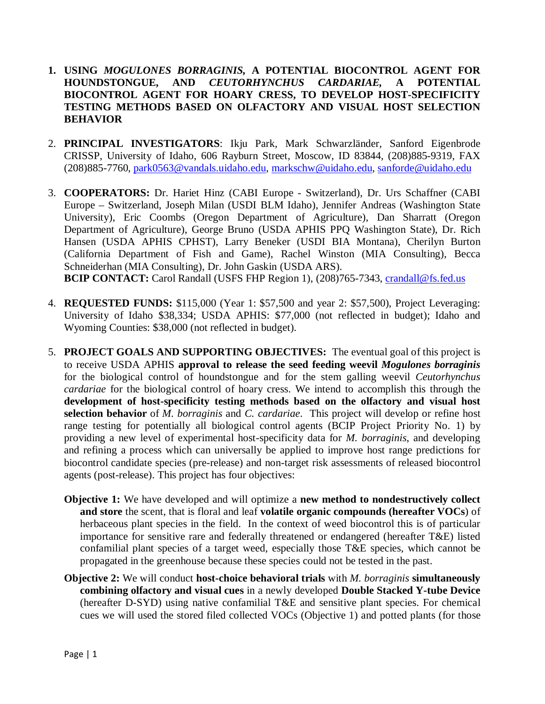# **1. USING** *MOGULONES BORRAGINIS,* **A POTENTIAL BIOCONTROL AGENT FOR HOUNDSTONGUE, AND** *CEUTORHYNCHUS CARDARIAE,* **A POTENTIAL BIOCONTROL AGENT FOR HOARY CRESS, TO DEVELOP HOST-SPECIFICITY TESTING METHODS BASED ON OLFACTORY AND VISUAL HOST SELECTION BEHAVIOR**

- 2. **PRINCIPAL INVESTIGATORS**: Ikju Park, Mark Schwarzländer, Sanford Eigenbrode CRISSP, University of Idaho, 606 Rayburn Street, Moscow, ID 83844, (208)885-9319, FAX (208)885-7760, [park0563@vandals.uidaho.edu,](mailto:park0563@vandals.uidaho.edu) [markschw@uidaho.edu,](mailto:markschw@uidaho.edu) [sanforde@uidaho.edu](mailto:sanforde@uidaho.edu)
- 3. **COOPERATORS:** Dr. Hariet Hinz (CABI Europe Switzerland), Dr. Urs Schaffner (CABI Europe – Switzerland, Joseph Milan (USDI BLM Idaho), Jennifer Andreas (Washington State University), Eric Coombs (Oregon Department of Agriculture), Dan Sharratt (Oregon Department of Agriculture), George Bruno (USDA APHIS PPQ Washington State), Dr. Rich Hansen (USDA APHIS CPHST), Larry Beneker (USDI BIA Montana), Cherilyn Burton (California Department of Fish and Game), Rachel Winston (MIA Consulting), Becca Schneiderhan (MIA Consulting), Dr. John Gaskin (USDA ARS). **BCIP CONTACT:** Carol Randall (USFS FHP Region 1), (208)765-7343, [crandall@fs.fed.us](mailto:crandall@fs.fed.us)
- 4. **REQUESTED FUNDS:** \$115,000 (Year 1: \$57,500 and year 2: \$57,500), Project Leveraging: University of Idaho \$38,334; USDA APHIS: \$77,000 (not reflected in budget); Idaho and Wyoming Counties: \$38,000 (not reflected in budget).
- 5. **PROJECT GOALS AND SUPPORTING OBJECTIVES:** The eventual goal of this project is to receive USDA APHIS **approval to release the seed feeding weevil** *Mogulones borraginis* for the biological control of houndstongue and for the stem galling weevil *Ceutorhynchus cardariae* for the biological control of hoary cress. We intend to accomplish this through the **development of host-specificity testing methods based on the olfactory and visual host selection behavior** of *M. borraginis* and *C. cardariae*. This project will develop or refine host range testing for potentially all biological control agents (BCIP Project Priority No. 1) by providing a new level of experimental host-specificity data for *M. borraginis*, and developing and refining a process which can universally be applied to improve host range predictions for biocontrol candidate species (pre-release) and non-target risk assessments of released biocontrol agents (post-release). This project has four objectives:
	- **Objective 1:** We have developed and will optimize a **new method to nondestructively collect and store** the scent, that is floral and leaf **volatile organic compounds (hereafter VOCs**) of herbaceous plant species in the field. In the context of weed biocontrol this is of particular importance for sensitive rare and federally threatened or endangered (hereafter T&E) listed confamilial plant species of a target weed, especially those T&E species, which cannot be propagated in the greenhouse because these species could not be tested in the past.
	- **Objective 2:** We will conduct **host-choice behavioral trials** with *M. borraginis* **simultaneously combining olfactory and visual cues** in a newly developed **Double Stacked Y-tube Device**  (hereafter D-SYD) using native confamilial T&E and sensitive plant species. For chemical cues we will used the stored filed collected VOCs (Objective 1) and potted plants (for those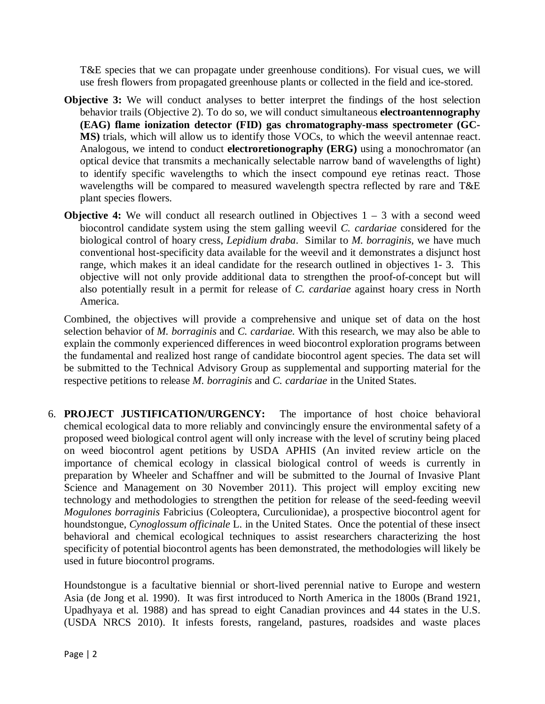T&E species that we can propagate under greenhouse conditions). For visual cues, we will use fresh flowers from propagated greenhouse plants or collected in the field and ice-stored.

- **Objective 3:** We will conduct analyses to better interpret the findings of the host selection behavior trails (Objective 2). To do so, we will conduct simultaneous **electroantennography (EAG) flame ionization detector (FID) gas chromatography-mass spectrometer (GC-MS)** trials, which will allow us to identify those VOCs, to which the weevil antennae react. Analogous, we intend to conduct **electroretionography (ERG)** using a monochromator (an optical device that transmits a mechanically selectable narrow band of wavelengths of light) to identify specific wavelengths to which the insect compound eye retinas react. Those wavelengths will be compared to measured wavelength spectra reflected by rare and T&E plant species flowers.
- **Objective 4:** We will conduct all research outlined in Objectives  $1 3$  with a second weed biocontrol candidate system using the stem galling weevil *C. cardariae* considered for the biological control of hoary cress, *Lepidium draba*. Similar to *M. borraginis,* we have much conventional host-specificity data available for the weevil and it demonstrates a disjunct host range, which makes it an ideal candidate for the research outlined in objectives 1- 3. This objective will not only provide additional data to strengthen the proof-of-concept but will also potentially result in a permit for release of *C. cardariae* against hoary cress in North America.

Combined, the objectives will provide a comprehensive and unique set of data on the host selection behavior of *M. borraginis* and *C. cardariae.* With this research, we may also be able to explain the commonly experienced differences in weed biocontrol exploration programs between the fundamental and realized host range of candidate biocontrol agent species. The data set will be submitted to the Technical Advisory Group as supplemental and supporting material for the respective petitions to release *M. borraginis* and *C. cardariae* in the United States.

6. **PROJECT JUSTIFICATION/URGENCY:** The importance of host choice behavioral chemical ecological data to more reliably and convincingly ensure the environmental safety of a proposed weed biological control agent will only increase with the level of scrutiny being placed on weed biocontrol agent petitions by USDA APHIS (An invited review article on the importance of chemical ecology in classical biological control of weeds is currently in preparation by Wheeler and Schaffner and will be submitted to the Journal of Invasive Plant Science and Management on 30 November 2011). This project will employ exciting new technology and methodologies to strengthen the petition for release of the seed-feeding weevil *Mogulones borraginis* Fabricius (Coleoptera, Curculionidae), a prospective biocontrol agent for houndstongue, *Cynoglossum officinale* L. in the United States. Once the potential of these insect behavioral and chemical ecological techniques to assist researchers characterizing the host specificity of potential biocontrol agents has been demonstrated, the methodologies will likely be used in future biocontrol programs.

Houndstongue is a facultative biennial or short-lived perennial native to Europe and western Asia (de Jong et al. 1990). It was first introduced to North America in the 1800s (Brand 1921, Upadhyaya et al. 1988) and has spread to eight Canadian provinces and 44 states in the U.S. (USDA NRCS 2010). It infests forests, rangeland, pastures, roadsides and waste places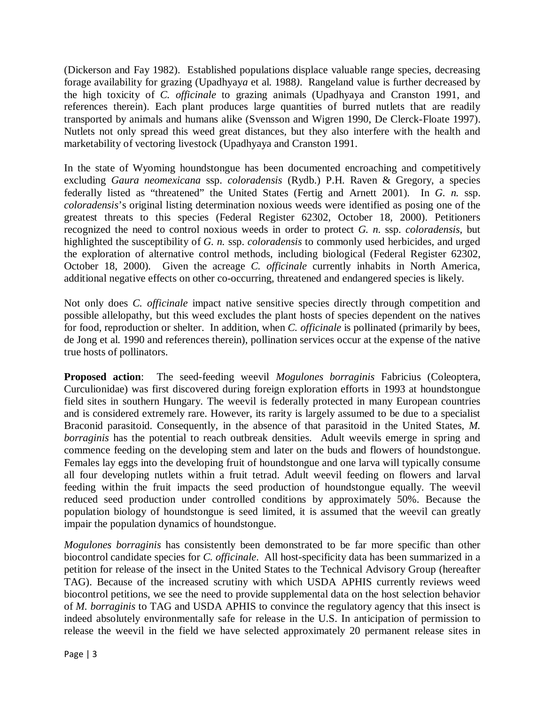(Dickerson and Fay 1982). Established populations displace valuable range species, decreasing forage availability for grazing (Upadhyay*a* et al. 1988*)*. Rangeland value is further decreased by the high toxicity of *C. officinale* to grazing animals (Upadhyaya and Cranston 1991, and references therein). Each plant produces large quantities of burred nutlets that are readily transported by animals and humans alike (Svensson and Wigren 1990, De Clerck-Floate 1997). Nutlets not only spread this weed great distances, but they also interfere with the health and marketability of vectoring livestock (Upadhyaya and Cranston 1991.

In the state of Wyoming houndstongue has been documented encroaching and competitively excluding *Gaura neomexicana* ssp. *coloradensis* (Rydb.) P.H. Raven & Gregory, a species federally listed as "threatened" the United States (Fertig and Arnett 2001). In *G. n.* ssp. *coloradensis*'s original listing determination noxious weeds were identified as posing one of the greatest threats to this species (Federal Register 62302, October 18, 2000). Petitioners recognized the need to control noxious weeds in order to protect *G. n.* ssp. *coloradensis*, but highlighted the susceptibility of *G. n.* ssp. *coloradensis* to commonly used herbicides, and urged the exploration of alternative control methods, including biological (Federal Register 62302, October 18, 2000). Given the acreage *C. officinale* currently inhabits in North America, additional negative effects on other co-occurring, threatened and endangered species is likely.

Not only does *C. officinale* impact native sensitive species directly through competition and possible allelopathy, but this weed excludes the plant hosts of species dependent on the natives for food, reproduction or shelter. In addition, when *C. officinale* is pollinated (primarily by bees, de Jong et al. 1990 and references therein), pollination services occur at the expense of the native true hosts of pollinators.

**Proposed action**: The seed-feeding weevil *Mogulones borraginis* Fabricius (Coleoptera, Curculionidae) was first discovered during foreign exploration efforts in 1993 at houndstongue field sites in southern Hungary. The weevil is federally protected in many European countries and is considered extremely rare. However, its rarity is largely assumed to be due to a specialist Braconid parasitoid. Consequently, in the absence of that parasitoid in the United States, *M. borraginis* has the potential to reach outbreak densities. Adult weevils emerge in spring and commence feeding on the developing stem and later on the buds and flowers of houndstongue. Females lay eggs into the developing fruit of houndstongue and one larva will typically consume all four developing nutlets within a fruit tetrad. Adult weevil feeding on flowers and larval feeding within the fruit impacts the seed production of houndstongue equally. The weevil reduced seed production under controlled conditions by approximately 50%. Because the population biology of houndstongue is seed limited, it is assumed that the weevil can greatly impair the population dynamics of houndstongue.

*Mogulones borraginis* has consistently been demonstrated to be far more specific than other biocontrol candidate species for *C. officinale*. All host-specificity data has been summarized in a petition for release of the insect in the United States to the Technical Advisory Group (hereafter TAG). Because of the increased scrutiny with which USDA APHIS currently reviews weed biocontrol petitions, we see the need to provide supplemental data on the host selection behavior of *M. borraginis* to TAG and USDA APHIS to convince the regulatory agency that this insect is indeed absolutely environmentally safe for release in the U.S. In anticipation of permission to release the weevil in the field we have selected approximately 20 permanent release sites in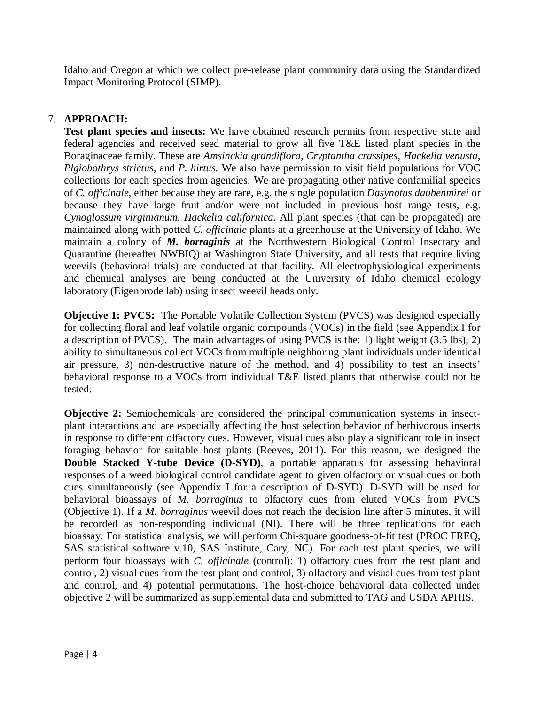Idaho and Oregon at which we collect pre-release plant community data using the Standardized Impact Monitoring Protocol (SIMP).

# 7. **APPROACH:**

**Test plant species and insects:** We have obtained research permits from respective state and federal agencies and received seed material to grow all five T&E listed plant species in the Boraginaceae family. These are *Amsinckia grandiflora, Cryptantha crassipes, Hackelia venusta, Plgiobothrys strictus,* and *P. hirtus.* We also have permission to visit field populations for VOC collections for each species from agencies. We are propagating other native confamilial species of *C. officinale,* either because they are rare, e.g. the single population *Dasynotus daubenmirei* or because they have large fruit and/or were not included in previous host range tests, e.g. *Cynoglossum virginianum, Hackelia californica.* All plant species (that can be propagated) are maintained along with potted *C. officinale* plants at a greenhouse at the University of Idaho. We maintain a colony of *M. borraginis* at the Northwestern Biological Control Insectary and Quarantine (hereafter NWBIQ) at Washington State University, and all tests that require living weevils (behavioral trials) are conducted at that facility. All electrophysiological experiments and chemical analyses are being conducted at the University of Idaho chemical ecology laboratory (Eigenbrode lab) using insect weevil heads only.

**Objective 1: PVCS:** The Portable Volatile Collection System (PVCS) was designed especially for collecting floral and leaf volatile organic compounds (VOCs) in the field (see Appendix I for a description of PVCS). The main advantages of using PVCS is the: 1) light weight (3.5 lbs), 2) ability to simultaneous collect VOCs from multiple neighboring plant individuals under identical air pressure, 3) non-destructive nature of the method, and 4) possibility to test an insects' behavioral response to a VOCs from individual T&E listed plants that otherwise could not be tested.

**Objective 2:** Semiochemicals are considered the principal communication systems in insectplant interactions and are especially affecting the host selection behavior of herbivorous insects in response to different olfactory cues. However, visual cues also play a significant role in insect foraging behavior for suitable host plants (Reeves, 2011). For this reason, we designed the **Double Stacked Y-tube Device (D-SYD)**, a portable apparatus for assessing behavioral responses of a weed biological control candidate agent to given olfactory or visual cues or both cues simultaneously (see Appendix I for a description of D-SYD). D-SYD will be used for behavioral bioassays of *M. borraginus* to olfactory cues from eluted VOCs from PVCS (Objective 1). If a *M. borraginus* weevil does not reach the decision line after 5 minutes, it will be recorded as non-responding individual (NI). There will be three replications for each bioassay. For statistical analysis, we will perform Chi-square goodness-of-fit test (PROC FREQ, SAS statistical software v.10, SAS Institute, Cary, NC). For each test plant species, we will perform four bioassays with *C. officinale* (control): 1) olfactory cues from the test plant and control, 2) visual cues from the test plant and control, 3) olfactory and visual cues from test plant and control, and 4) potential permutations. The host-choice behavioral data collected under objective 2 will be summarized as supplemental data and submitted to TAG and USDA APHIS.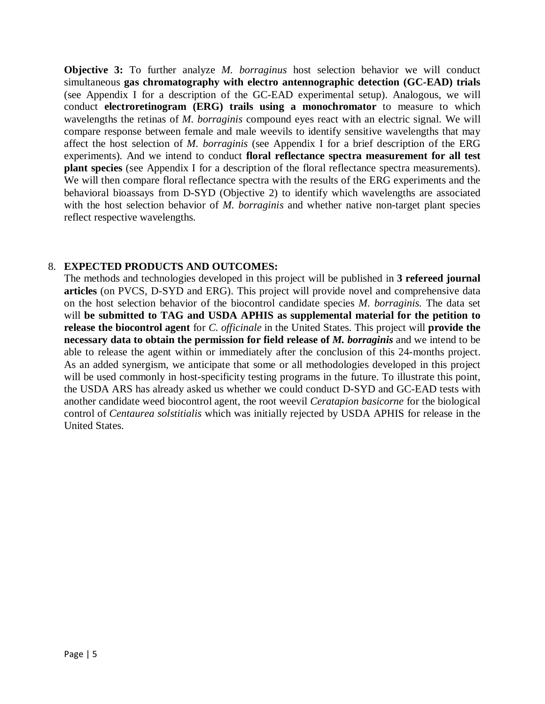**Objective 3:** To further analyze *M. borraginus* host selection behavior we will conduct simultaneous **gas chromatography with electro antennographic detection (GC-EAD) trials** (see Appendix I for a description of the GC-EAD experimental setup). Analogous, we will conduct **electroretinogram (ERG) trails using a monochromator** to measure to which wavelengths the retinas of *M. borraginis* compound eyes react with an electric signal. We will compare response between female and male weevils to identify sensitive wavelengths that may affect the host selection of *M. borraginis* (see Appendix I for a brief description of the ERG experiments)*.* And we intend to conduct **floral reflectance spectra measurement for all test plant species** (see Appendix I for a description of the floral reflectance spectra measurements). We will then compare floral reflectance spectra with the results of the ERG experiments and the behavioral bioassays from D-SYD (Objective 2) to identify which wavelengths are associated with the host selection behavior of *M. borraginis* and whether native non-target plant species reflect respective wavelengths.

# 8. **EXPECTED PRODUCTS AND OUTCOMES:**

The methods and technologies developed in this project will be published in **3 refereed journal articles** (on PVCS, D-SYD and ERG). This project will provide novel and comprehensive data on the host selection behavior of the biocontrol candidate species *M. borraginis.* The data set will **be submitted to TAG and USDA APHIS as supplemental material for the petition to release the biocontrol agent** for *C. officinale* in the United States. This project will **provide the necessary data to obtain the permission for field release of** *M. borraginis* and we intend to be able to release the agent within or immediately after the conclusion of this 24-months project. As an added synergism, we anticipate that some or all methodologies developed in this project will be used commonly in host-specificity testing programs in the future. To illustrate this point, the USDA ARS has already asked us whether we could conduct D-SYD and GC-EAD tests with another candidate weed biocontrol agent, the root weevil *Ceratapion basicorne* for the biological control of *Centaurea solstitialis* which was initially rejected by USDA APHIS for release in the United States.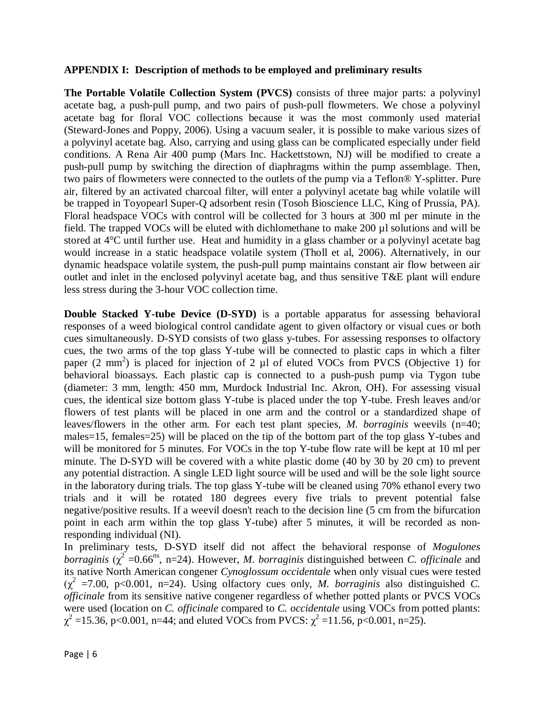### **APPENDIX I: Description of methods to be employed and preliminary results**

**The Portable Volatile Collection System (PVCS)** consists of three major parts: a polyvinyl acetate bag, a push-pull pump, and two pairs of push-pull flowmeters. We chose a polyvinyl acetate bag for floral VOC collections because it was the most commonly used material (Steward-Jones and Poppy, 2006). Using a vacuum sealer, it is possible to make various sizes of a polyvinyl acetate bag. Also, carrying and using glass can be complicated especially under field conditions. A Rena Air 400 pump (Mars Inc. Hackettstown, NJ) will be modified to create a push-pull pump by switching the direction of diaphragms within the pump assemblage. Then, two pairs of flowmeters were connected to the outlets of the pump via a Teflon® Y-splitter. Pure air, filtered by an activated charcoal filter, will enter a polyvinyl acetate bag while volatile will be trapped in Toyopearl Super-Q adsorbent resin (Tosoh Bioscience LLC, King of Prussia, PA). Floral headspace VOCs with control will be collected for 3 hours at 300 ml per minute in the field. The trapped VOCs will be eluted with dichlomethane to make  $200 \mu$ l solutions and will be stored at 4°C until further use. Heat and humidity in a glass chamber or a polyvinyl acetate bag would increase in a static headspace volatile system (Tholl et al, 2006). Alternatively, in our dynamic headspace volatile system, the push-pull pump maintains constant air flow between air outlet and inlet in the enclosed polyvinyl acetate bag, and thus sensitive T&E plant will endure less stress during the 3-hour VOC collection time.

**Double Stacked Y-tube Device (D-SYD)** is a portable apparatus for assessing behavioral responses of a weed biological control candidate agent to given olfactory or visual cues or both cues simultaneously. D-SYD consists of two glass y-tubes. For assessing responses to olfactory cues, the two arms of the top glass Y-tube will be connected to plastic caps in which a filter paper  $(2 \text{ mm}^2)$  is placed for injection of 2 µl of eluted VOCs from PVCS (Objective 1) for behavioral bioassays. Each plastic cap is connected to a push-push pump via Tygon tube (diameter: 3 mm, length: 450 mm, Murdock Industrial Inc. Akron, OH). For assessing visual cues, the identical size bottom glass Y-tube is placed under the top Y-tube. Fresh leaves and/or flowers of test plants will be placed in one arm and the control or a standardized shape of leaves/flowers in the other arm. For each test plant species, *M. borraginis* weevils (n=40; males=15, females=25) will be placed on the tip of the bottom part of the top glass Y-tubes and will be monitored for 5 minutes. For VOCs in the top Y-tube flow rate will be kept at 10 ml per minute. The D-SYD will be covered with a white plastic dome (40 by 30 by 20 cm) to prevent any potential distraction. A single LED light source will be used and will be the sole light source in the laboratory during trials. The top glass Y-tube will be cleaned using 70% ethanol every two trials and it will be rotated 180 degrees every five trials to prevent potential false negative/positive results. If a weevil doesn't reach to the decision line (5 cm from the bifurcation point in each arm within the top glass Y-tube) after 5 minutes, it will be recorded as nonresponding individual (NI).

In preliminary tests, D-SYD itself did not affect the behavioral response of *Mogulones borraginis*  $(\chi^2 = 0.66^\text{ns}, n=24)$ . However, *M. borraginis* distinguished between *C. officinale* and its native North American congener *Cynoglossum occidentale* when only visual cues were tested  $(\chi^2$  =7.00, p<0.001, n=24). Using olfactory cues only, *M. borraginis* also distinguished *C*. *officinale* from its sensitive native congener regardless of whether potted plants or PVCS VOCs were used (location on *C. officinale* compared to *C. occidentale* using VOCs from potted plants:  $\chi^2$  =15.36, p<0.001, n=44; and eluted VOCs from PVCS:  $\chi^2$  =11.56, p<0.001, n=25).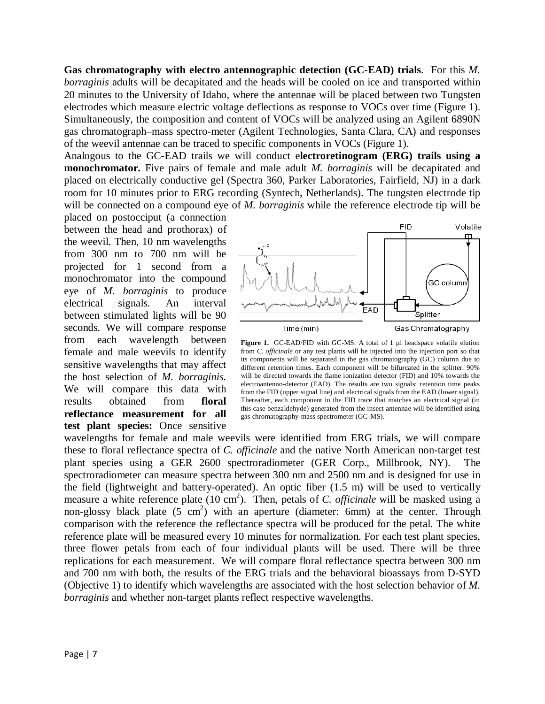**Gas chromatography with electro antennographic detection (GC-EAD) trials**. For this *M. borraginis* adults will be decapitated and the heads will be cooled on ice and transported within 20 minutes to the University of Idaho, where the antennae will be placed between two Tungsten electrodes which measure electric voltage deflections as response to VOCs over time (Figure 1). Simultaneously, the composition and content of VOCs will be analyzed using an Agilent 6890N gas chromatograph–mass spectro-meter (Agilent Technologies, Santa Clara, CA) and responses of the weevil antennae can be traced to specific components in VOCs (Figure 1).

Analogous to the GC-EAD trails we will conduct e**lectroretinogram (ERG) trails using a monochromator.** Five pairs of female and male adult *M. borraginis* will be decapitated and placed on electrically conductive gel (Spectra 360, Parker Laboratories, Fairfield, NJ) in a dark room for 10 minutes prior to ERG recording (Syntech, Netherlands). The tungsten electrode tip will be connected on a compound eye of *M. borraginis* while the reference electrode tip will be

placed on postocciput (a connection between the head and prothorax) of the weevil. Then, 10 nm wavelengths from 300 nm to 700 nm will be projected for 1 second from a monochromator into the compound eye of *M. borraginis* to produce electrical signals*.* An interval between stimulated lights will be 90 seconds. We will compare response from each wavelength between female and male weevils to identify sensitive wavelengths that may affect the host selection of *M. borraginis.*  We will compare this data with results obtained from **floral reflectance measurement for all test plant species:** Once sensitive



Figure 1. GC-EAD/FID with GC-MS: A total of 1 µl headspace volatile elution from *C. officinale* or any test plants will be injected into the injection port so that its components will be separated in the gas chromatography (GC) column due to different retention times. Each component will be bifurcated in the splitter. 90% will be directed towards the flame ionization detector (FID) and 10% towards the electroantenno-detector (EAD). The results are two signals: retention time peaks from the FID (upper signal line) and electrical signals from the EAD (lower signal). Thereafter, each component in the FID trace that matches an electrical signal (in this case benzaldehyde) generated from the insect antennae will be identified using gas chromatography-mass spectrometer (GC-MS).

wavelengths for female and male weevils were identified from ERG trials, we will compare these to floral reflectance spectra of *C. officinale* and the native North American non-target test plant species using a GER 2600 spectroradiometer (GER Corp., Millbrook, NY). The spectroradiometer can measure spectra between 300 nm and 2500 nm and is designed for use in the field (lightweight and battery-operated). An optic fiber (1.5 m) will be used to vertically measure a white reference plate (10 cm<sup>2</sup>). Then, petals of *C. officinale* will be masked using a non-glossy black plate  $(5 \text{ cm}^2)$  with an aperture (diameter: 6mm) at the center. Through comparison with the reference the reflectance spectra will be produced for the petal. The white reference plate will be measured every 10 minutes for normalization. For each test plant species, three flower petals from each of four individual plants will be used. There will be three replications for each measurement. We will compare floral reflectance spectra between 300 nm and 700 nm with both, the results of the ERG trials and the behavioral bioassays from D-SYD (Objective 1) to identify which wavelengths are associated with the host selection behavior of *M. borraginis* and whether non-target plants reflect respective wavelengths.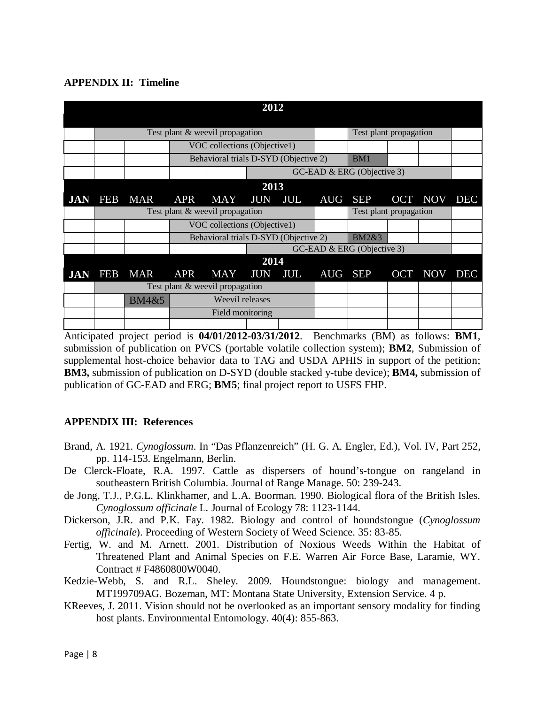# **APPENDIX II: Timeline**

| 2012       |                                 |            |                                       |                                 |            |     |                  |                        |  |             |            |
|------------|---------------------------------|------------|---------------------------------------|---------------------------------|------------|-----|------------------|------------------------|--|-------------|------------|
|            | Test plant & weevil propagation |            |                                       |                                 |            |     |                  | Test plant propagation |  |             |            |
|            |                                 |            | VOC collections (Objective1)          |                                 |            |     |                  |                        |  |             |            |
|            |                                 |            | Behavioral trials D-SYD (Objective 2) |                                 |            |     | BM1              |                        |  |             |            |
|            |                                 |            |                                       | GC-EAD & ERG (Objective 3)      |            |     |                  |                        |  |             |            |
| 2013       |                                 |            |                                       |                                 |            |     |                  |                        |  |             |            |
| <b>JAN</b> | <b>FEB</b>                      | <b>MAR</b> | <b>APR</b>                            | MAY                             | <b>JUN</b> | JUL | AUG SEP          |                        |  | OCT NOV     | <b>DEC</b> |
|            |                                 |            | Test plant & weevil propagation       |                                 |            |     |                  | Test plant propagation |  |             |            |
|            |                                 |            | VOC collections (Objective1)          |                                 |            |     |                  |                        |  |             |            |
|            |                                 |            | Behavioral trials D-SYD (Objective 2) |                                 |            |     | <b>BM2&amp;3</b> |                        |  |             |            |
|            |                                 |            | GC-EAD & ERG (Objective 3)            |                                 |            |     |                  |                        |  |             |            |
| 2014       |                                 |            |                                       |                                 |            |     |                  |                        |  |             |            |
| <b>JAN</b> | <b>FEB</b>                      | <b>MAR</b> | <b>APR</b>                            | MAY                             | <b>JUN</b> | JUL | AUG SEP          |                        |  | OCT NOV DEC |            |
|            |                                 |            |                                       | Test plant & weevil propagation |            |     |                  |                        |  |             |            |
|            |                                 | BM4&5      | Weevil releases                       |                                 |            |     |                  |                        |  |             |            |
|            |                                 |            | Field monitoring                      |                                 |            |     |                  |                        |  |             |            |
|            |                                 |            |                                       |                                 |            |     |                  |                        |  |             |            |

Anticipated project period is **04/01/2012-03/31/2012**. Benchmarks (BM) as follows: **BM1**, submission of publication on PVCS (portable volatile collection system); **BM2**, Submission of supplemental host-choice behavior data to TAG and USDA APHIS in support of the petition; **BM3,** submission of publication on D-SYD (double stacked y-tube device); **BM4,** submission of publication of GC-EAD and ERG; **BM5**; final project report to USFS FHP.

## **APPENDIX III: References**

- Brand, A. 1921. *Cynoglossum*. In "Das Pflanzenreich" (H. G. A. Engler, Ed.), Vol. IV, Part 252, pp. 114-153. Engelmann, Berlin.
- De Clerck-Floate, R.A. 1997. Cattle as dispersers of hound's-tongue on rangeland in southeastern British Columbia. Journal of Range Manage. 50: 239-243.
- de Jong, T.J., P.G.L. Klinkhamer, and L.A. Boorman. 1990. Biological flora of the British Isles. *Cynoglossum officinale* L*.* Journal of Ecology 78: 1123-1144.
- Dickerson, J.R. and P.K. Fay. 1982. Biology and control of houndstongue (*Cynoglossum officinale*). Proceeding of Western Society of Weed Science. 35: 83-85.
- Fertig, W. and M. Arnett. 2001. Distribution of Noxious Weeds Within the Habitat of Threatened Plant and Animal Species on F.E. Warren Air Force Base, Laramie, WY. Contract # F4860800W0040.
- Kedzie-Webb, S. and R.L. Sheley. 2009. Houndstongue: biology and management. MT199709AG. Bozeman, MT: Montana State University, Extension Service. 4 p.
- KReeves, J. 2011. Vision should not be overlooked as an important sensory modality for finding host plants. Environmental Entomology. 40(4): 855-863.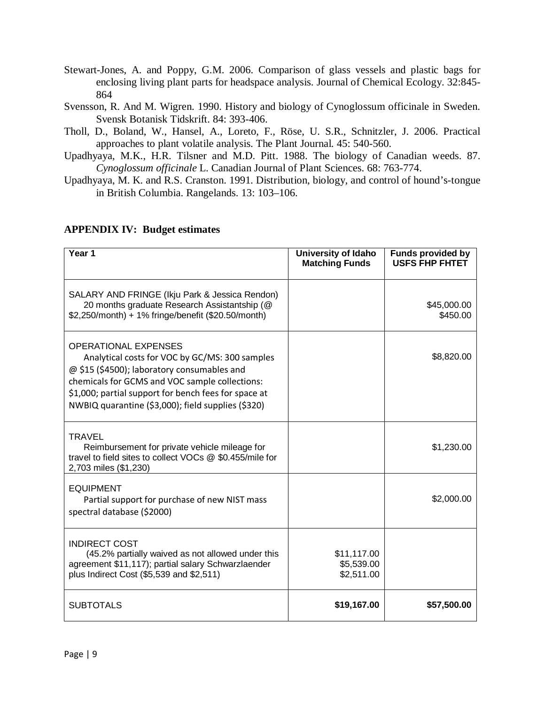- Stewart-Jones, A. and Poppy, G.M. 2006. Comparison of glass vessels and plastic bags for enclosing living plant parts for headspace analysis. Journal of Chemical Ecology. 32:845- 864
- Svensson, R. And M. Wigren. 1990. History and biology of Cynoglossum officinale in Sweden. Svensk Botanisk Tidskrift. 84: 393-406.
- Tholl, D., Boland, W., Hansel, A., Loreto, F., Röse, U. S.R., Schnitzler, J. 2006. Practical approaches to plant volatile analysis. The Plant Journal. 45: 540-560.
- Upadhyaya, M.K., H.R. Tilsner and M.D. Pitt. 1988. The biology of Canadian weeds. 87. *Cynoglossum officinale* L. Canadian Journal of Plant Sciences. 68: 763-774.
- Upadhyaya, M. K. and R.S. Cranston. 1991. Distribution, biology, and control of hound's-tongue in British Columbia. Rangelands. 13: 103–106.

| Year 1                                                                                                                                                                                                                                                                                       | <b>University of Idaho</b><br><b>Matching Funds</b> | <b>Funds provided by</b><br><b>USFS FHP FHTET</b> |
|----------------------------------------------------------------------------------------------------------------------------------------------------------------------------------------------------------------------------------------------------------------------------------------------|-----------------------------------------------------|---------------------------------------------------|
| SALARY AND FRINGE (Ikju Park & Jessica Rendon)<br>20 months graduate Research Assistantship (@<br>\$2,250/month) + 1% fringe/benefit (\$20.50/month)                                                                                                                                         |                                                     | \$45,000.00<br>\$450.00                           |
| <b>OPERATIONAL EXPENSES</b><br>Analytical costs for VOC by GC/MS: 300 samples<br>@ \$15 (\$4500); laboratory consumables and<br>chemicals for GCMS and VOC sample collections:<br>\$1,000; partial support for bench fees for space at<br>NWBIQ quarantine (\$3,000); field supplies (\$320) |                                                     | \$8,820.00                                        |
| <b>TRAVEL</b><br>Reimbursement for private vehicle mileage for<br>travel to field sites to collect VOCs @ \$0.455/mile for<br>2,703 miles (\$1,230)                                                                                                                                          |                                                     | \$1,230.00                                        |
| <b>EQUIPMENT</b><br>Partial support for purchase of new NIST mass<br>spectral database (\$2000)                                                                                                                                                                                              |                                                     | \$2,000.00                                        |
| <b>INDIRECT COST</b><br>(45.2% partially waived as not allowed under this<br>agreement \$11,117); partial salary Schwarzlaender<br>plus Indirect Cost (\$5,539 and \$2,511)                                                                                                                  | \$11,117.00<br>\$5,539.00<br>\$2,511.00             |                                                   |
| <b>SUBTOTALS</b>                                                                                                                                                                                                                                                                             | \$19,167.00                                         | \$57,500.00                                       |

# **APPENDIX IV: Budget estimates**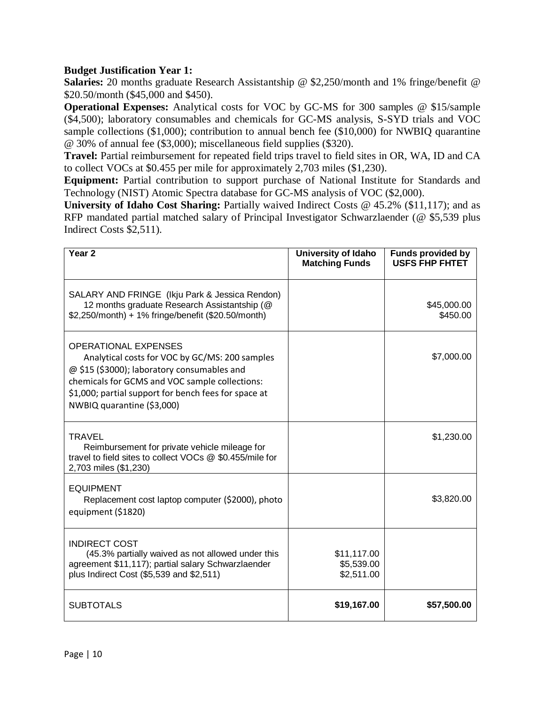# **Budget Justification Year 1:**

**Salaries:** 20 months graduate Research Assistantship @ \$2,250/month and 1% fringe/benefit @ \$20.50/month (\$45,000 and \$450).

**Operational Expenses:** Analytical costs for VOC by GC-MS for 300 samples @ \$15/sample (\$4,500); laboratory consumables and chemicals for GC-MS analysis, S-SYD trials and VOC sample collections (\$1,000); contribution to annual bench fee (\$10,000) for NWBIQ quarantine @ 30% of annual fee (\$3,000); miscellaneous field supplies (\$320).

**Travel:** Partial reimbursement for repeated field trips travel to field sites in OR, WA, ID and CA to collect VOCs at \$0.455 per mile for approximately 2,703 miles (\$1,230).

**Equipment:** Partial contribution to support purchase of National Institute for Standards and Technology (NIST) Atomic Spectra database for GC-MS analysis of VOC (\$2,000).

University of Idaho Cost Sharing: Partially waived Indirect Costs @ 45.2% (\$11,117); and as RFP mandated partial matched salary of Principal Investigator Schwarzlaender (@ \$5,539 plus Indirect Costs \$2,511).

| Year <sub>2</sub>                                                                                                                                                                                                                                                    | University of Idaho<br><b>Matching Funds</b> | <b>Funds provided by</b><br><b>USFS FHP FHTET</b> |
|----------------------------------------------------------------------------------------------------------------------------------------------------------------------------------------------------------------------------------------------------------------------|----------------------------------------------|---------------------------------------------------|
| SALARY AND FRINGE (Ikju Park & Jessica Rendon)<br>12 months graduate Research Assistantship (@<br>\$2,250/month) + 1% fringe/benefit (\$20.50/month)                                                                                                                 |                                              | \$45,000.00<br>\$450.00                           |
| <b>OPERATIONAL EXPENSES</b><br>Analytical costs for VOC by GC/MS: 200 samples<br>@ \$15 (\$3000); laboratory consumables and<br>chemicals for GCMS and VOC sample collections:<br>\$1,000; partial support for bench fees for space at<br>NWBIQ quarantine (\$3,000) |                                              | \$7,000.00                                        |
| TRAVEL<br>Reimbursement for private vehicle mileage for<br>travel to field sites to collect VOCs @ \$0.455/mile for<br>2,703 miles (\$1,230)                                                                                                                         |                                              | \$1,230.00                                        |
| <b>EQUIPMENT</b><br>Replacement cost laptop computer (\$2000), photo<br>equipment (\$1820)                                                                                                                                                                           |                                              | \$3,820.00                                        |
| <b>INDIRECT COST</b><br>(45.3% partially waived as not allowed under this<br>agreement \$11,117); partial salary Schwarzlaender<br>plus Indirect Cost (\$5,539 and \$2,511)                                                                                          | \$11,117.00<br>\$5,539.00<br>\$2,511.00      |                                                   |
| <b>SUBTOTALS</b>                                                                                                                                                                                                                                                     | \$19,167.00                                  | \$57,500.00                                       |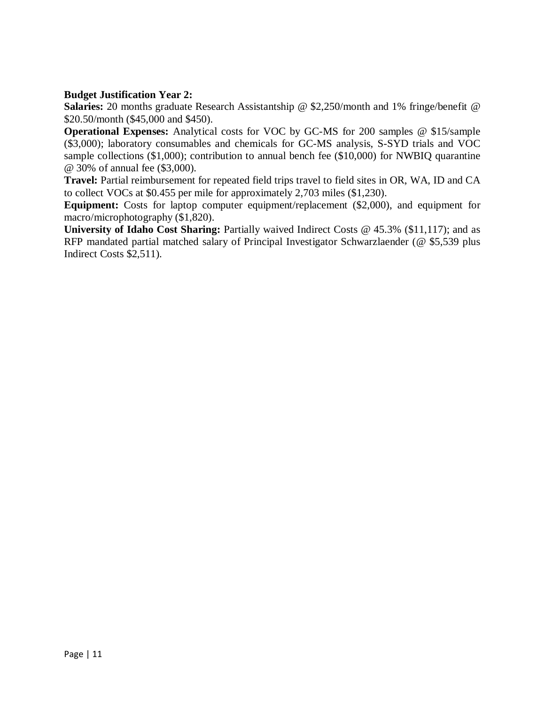# **Budget Justification Year 2:**

**Salaries:** 20 months graduate Research Assistantship @ \$2,250/month and 1% fringe/benefit @ \$20.50/month (\$45,000 and \$450).

**Operational Expenses:** Analytical costs for VOC by GC-MS for 200 samples @ \$15/sample (\$3,000); laboratory consumables and chemicals for GC-MS analysis, S-SYD trials and VOC sample collections (\$1,000); contribution to annual bench fee (\$10,000) for NWBIQ quarantine @ 30% of annual fee (\$3,000).

**Travel:** Partial reimbursement for repeated field trips travel to field sites in OR, WA, ID and CA to collect VOCs at \$0.455 per mile for approximately 2,703 miles (\$1,230).

**Equipment:** Costs for laptop computer equipment/replacement (\$2,000), and equipment for macro/microphotography (\$1,820).

**University of Idaho Cost Sharing:** Partially waived Indirect Costs @ 45.3% (\$11,117); and as RFP mandated partial matched salary of Principal Investigator Schwarzlaender (@ \$5,539 plus Indirect Costs \$2,511).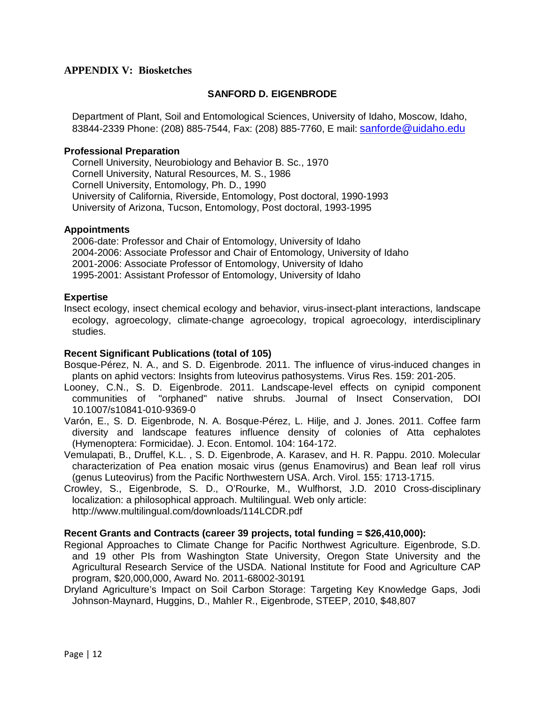## **APPENDIX V: Biosketches**

## **SANFORD D. EIGENBRODE**

Department of Plant, Soil and Entomological Sciences, University of Idaho, Moscow, Idaho, 83844-2339 Phone: (208) 885-7544, Fax: (208) 885-7760, E mail: sanforde@uidaho.edu

### **Professional Preparation**

Cornell University, Neurobiology and Behavior B. Sc., 1970 Cornell University, Natural Resources, M. S., 1986 Cornell University, Entomology, Ph. D., 1990 University of California, Riverside, Entomology, Post doctoral, 1990-1993 University of Arizona, Tucson, Entomology, Post doctoral, 1993-1995

#### **Appointments**

2006-date: Professor and Chair of Entomology, University of Idaho 2004-2006: Associate Professor and Chair of Entomology, University of Idaho 2001-2006: Associate Professor of Entomology, University of Idaho 1995-2001: Assistant Professor of Entomology, University of Idaho

#### **Expertise**

Insect ecology, insect chemical ecology and behavior, virus-insect-plant interactions, landscape ecology, agroecology, climate-change agroecology, tropical agroecology, interdisciplinary studies.

#### **Recent Significant Publications (total of 105)**

- Bosque-Pérez, N. A., and S. D. Eigenbrode. 2011. The influence of virus-induced changes in plants on aphid vectors: Insights from luteovirus pathosystems. Virus Res. 159: 201-205.
- Looney, C.N., S. D. Eigenbrode. 2011. Landscape-level effects on cynipid component communities of "orphaned" native shrubs. Journal of Insect Conservation, DOI 10.1007/s10841-010-9369-0
- Varón, E., S. D. Eigenbrode, N. A. Bosque-Pérez, L. Hilje, and J. Jones. 2011. Coffee farm diversity and landscape features influence density of colonies of Atta cephalotes (Hymenoptera: Formicidae). J. Econ. Entomol. 104: 164-172.
- Vemulapati, B., Druffel, K.L. , S. D. Eigenbrode, A. Karasev, and H. R. Pappu. 2010. Molecular characterization of Pea enation mosaic virus (genus Enamovirus) and Bean leaf roll virus (genus Luteovirus) from the Pacific Northwestern USA. Arch. Virol. 155: 1713-1715.
- Crowley, S., Eigenbrode, S. D., O'Rourke, M., Wulfhorst, J.D. 2010 Cross-disciplinary localization: a philosophical approach. Multilingual. Web only article: <http://www.multilingual.com/downloads/114LCDR.pdf>

### **Recent Grants and Contracts (career 39 projects, total funding = \$26,410,000):**

- Regional Approaches to Climate Change for Pacific Northwest Agriculture. Eigenbrode, S.D. and 19 other PIs from Washington State University, Oregon State University and the Agricultural Research Service of the USDA. National Institute for Food and Agriculture CAP program, \$20,000,000, Award No. 2011-68002-30191
- Dryland Agriculture's Impact on Soil Carbon Storage: Targeting Key Knowledge Gaps, Jodi Johnson-Maynard, Huggins, D., Mahler R., Eigenbrode, STEEP, 2010, \$48,807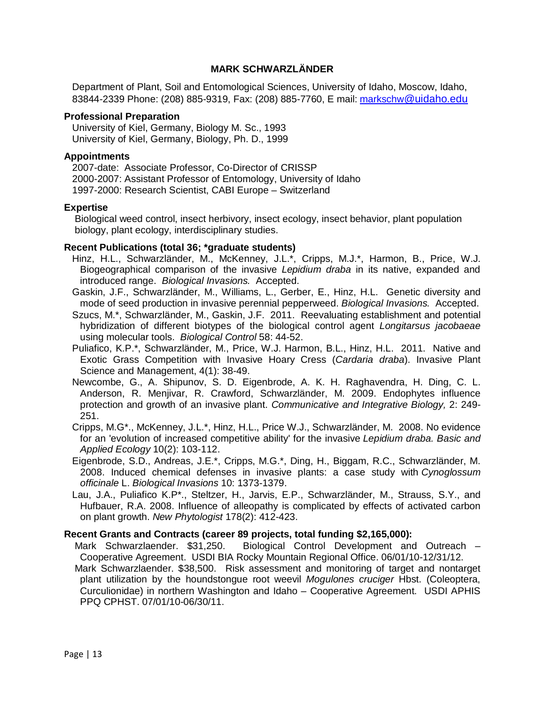## **MARK SCHWARZLÄNDER**

Department of Plant, Soil and Entomological Sciences, University of Idaho, Moscow, Idaho, 83844-2339 Phone: (208) 885-9319, Fax: (208) 885-7760, E mail: [markschw@uidaho.edu](mailto:markschw@uidaho.edu)

### **Professional Preparation**

University of Kiel, Germany, Biology M. Sc., 1993 University of Kiel, Germany, Biology, Ph. D., 1999

## **Appointments**

2007-date: Associate Professor, Co-Director of CRISSP 2000-2007: Assistant Professor of Entomology, University of Idaho 1997-2000: Research Scientist, CABI Europe – Switzerland

### **Expertise**

Biological weed control, insect herbivory, insect ecology, insect behavior, plant population biology, plant ecology, interdisciplinary studies.

#### **Recent Publications (total 36; \*graduate students)**

- Hinz, H.L., Schwarzländer, M., McKenney, J.L.\*, Cripps, M.J.\*, Harmon, B., Price, W.J. Biogeographical comparison of the invasive *Lepidium draba* in its native, expanded and introduced range. *Biological Invasions.* Accepted.
- Gaskin, J.F., Schwarzländer, M., Williams, L., Gerber, E., Hinz, H.L. Genetic diversity and mode of seed production in invasive perennial pepperweed. *Biological Invasions.* Accepted.
- Szucs, M.\*, Schwarzländer, M., Gaskin, J.F. 2011. Reevaluating establishment and potential hybridization of different biotypes of the biological control agent *Longitarsus jacobaeae*  using molecular tools. *Biological Control* 58: 44-52.
- Puliafico, K.P.\*, Schwarzländer, M., Price, W.J. Harmon, B.L., Hinz, H.L. 2011. Native and Exotic Grass Competition with Invasive Hoary Cress (*Cardaria draba*). Invasive Plant Science and Management, 4(1): 38-49.
- Newcombe, G., A. Shipunov, S. D. Eigenbrode, A. K. H. Raghavendra, H. Ding, C. L. Anderson, R. Menjivar, R. Crawford, Schwarzländer, M. 2009. Endophytes influence protection and growth of an invasive plant. *Communicative and Integrative Biology,* 2: 249- 251.
- Cripps, M.G\*., McKenney, J.L.\*, Hinz, H.L., Price W.J., Schwarzländer, M. 2008. No evidence for an 'evolution of increased competitive ability' for the invasive *Lepidium draba. Basic and Applied Ecology* 10(2): 103-112.
- Eigenbrode, S.D., Andreas, J.E.\*, Cripps, M.G.\*, Ding, H., Biggam, R.C., Schwarzländer, M. 2008. Induced chemical defenses in invasive plants: a case study with *Cynoglossum officinale* L. *Biological Invasions* 10: 1373-1379.
- Lau, J.A., Puliafico K.P\*., Steltzer, H., Jarvis, E.P., Schwarzländer, M., Strauss, S.Y., and Hufbauer, R.A. 2008. Influence of alleopathy is complicated by effects of activated carbon on plant growth. *New Phytologist* 178(2): 412-423.

### **Recent Grants and Contracts (career 89 projects, total funding \$2,165,000):**

- Mark Schwarzlaender. \$31,250. Biological Control Development and Outreach Cooperative Agreement. USDI BIA Rocky Mountain Regional Office. 06/01/10-12/31/12.
- Mark Schwarzlaender. \$38,500. Risk assessment and monitoring of target and nontarget plant utilization by the houndstongue root weevil *Mogulones cruciger* Hbst. (Coleoptera, Curculionidae) in northern Washington and Idaho – Cooperative Agreement. USDI APHIS PPQ CPHST. 07/01/10-06/30/11.